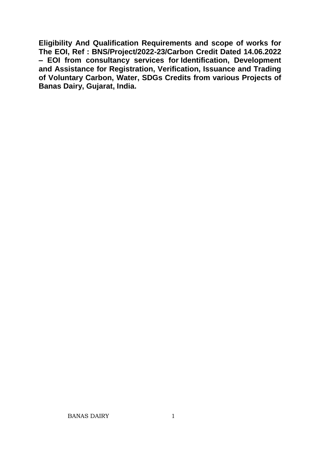**Eligibility And Qualification Requirements and scope of works for The EOI, Ref : BNS/Project/2022-23/Carbon Credit Dated 14.06.2022 – EOI from consultancy services for Identification, Development and Assistance for Registration, Verification, Issuance and Trading of Voluntary Carbon, Water, SDGs Credits from various Projects of Banas Dairy, Gujarat, India.**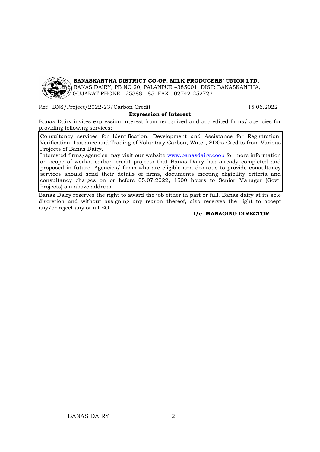

**BANASKANTHA DISTRICT CO-OP. MILK PRODUCERS' UNION LTD.**

BANAS DAIRY, PB NO 20, PALANPUR –385001, DIST: BANASKANTHA, GUJARAT PHONE : 253881-85..FAX : 02742-252723

Ref: BNS/Project/2022-23/Carbon Credit 15.06.2022

#### **Expression of Interest**

Banas Dairy invites expression interest from recognized and accredited firms/ agencies for providing following services:

Consultancy services for Identification, Development and Assistance for Registration, Verification, Issuance and Trading of Voluntary Carbon, Water, SDGs Credits from Various Projects of Banas Dairy.

Interested firms/agencies may visit our website [www.banasdairy.coop](http://www.banasdairy.coop/) for more information on scope of works, carbon credit projects that Banas Dairy has already completed and proposed in future. Agencies/ firms who are eligible and desirous to provide consultancy services should send their details of firms, documents meeting eligibility criteria and consultancy charges on or before 05.07.2022, 1500 hours to Senior Manager (Govt. Projects) om above address.

Banas Dairy reserves the right to award the job either in part or full. Banas dairy at its sole discretion and without assigning any reason thereof, also reserves the right to accept any/or reject any or all EOI.

#### **I/c MANAGING DIRECTOR**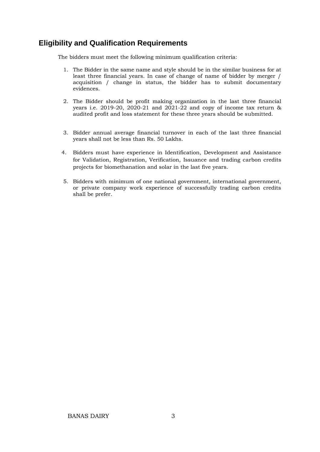## **Eligibility and Qualification Requirements**

The bidders must meet the following minimum qualification criteria:

- 1. The Bidder in the same name and style should be in the similar business for at least three financial years. In case of change of name of bidder by merger / acquisition / change in status, the bidder has to submit documentary evidences.
- 2. The Bidder should be profit making organization in the last three financial years i.e. 2019-20, 2020-21 and 2021-22 and copy of income tax return & audited profit and loss statement for these three years should be submitted.
- 3. Bidder annual average financial turnover in each of the last three financial years shall not be less than Rs. 50 Lakhs.
- 4. Bidders must have experience in Identification, Development and Assistance for Validation, Registration, Verification, Issuance and trading carbon credits projects for biomethanation and solar in the last five years.
- 5. Bidders with minimum of one national government, international government, or private company work experience of successfully trading carbon credits shall be prefer.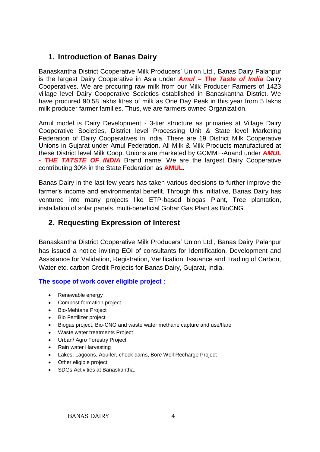## **1. Introduction of Banas Dairy**

Banaskantha District Cooperative Milk Producers' Union Ltd., Banas Dairy Palanpur is the largest Dairy Cooperative in Asia under *Amul – The Taste of India* Dairy Cooperatives. We are procuring raw milk from our Milk Producer Farmers of 1423 village level Dairy Cooperative Societies established in Banaskantha District. We have procured 90.58 lakhs litres of milk as One Day Peak in this year from 5 lakhs milk producer farmer families. Thus, we are farmers owned Organization.

Amul model is Dairy Development - 3-tier structure as primaries at Village Dairy Cooperative Societies, District level Processing Unit & State level Marketing Federation of Dairy Cooperatives in India. There are 19 District Milk Cooperative Unions in Gujarat under Amul Federation. All Milk & Milk Products manufactured at these District level Milk Coop. Unions are marketed by GCMMF-Anand under *AMUL - THE TATSTE OF INDIA* Brand name. We are the largest Dairy Cooperative contributing 30% in the State Federation as **AMUL**.

Banas Dairy in the last few years has taken various decisions to further improve the farmer's income and environmental benefit. Through this initiative, Banas Dairy has ventured into many projects like ETP-based biogas Plant, Tree plantation, installation of solar panels, multi-beneficial Gobar Gas Plant as BioCNG.

# **2. Requesting Expression of Interest**

Banaskantha District Cooperative Milk Producers' Union Ltd., Banas Dairy Palanpur has issued a notice inviting EOI of consultants for Identification, Development and Assistance for Validation, Registration, Verification, Issuance and Trading of Carbon, Water etc. carbon Credit Projects for Banas Dairy, Gujarat, India.

#### **The scope of work cover eligible project :**

- Renewable energy
- Compost formation project
- Bio-Mehtane Project
- Bio Fertilizer project
- Biogas project, Bio-CNG and waste water methane capture and use/flare
- Waste water treatments Project
- Urban/ Agro Forestry Project
- Rain water Harvesting
- Lakes, Lagoons, Aquifer, check dams, Bore Well Recharge Project
- Other eligible project.
- SDGs Activities at Banaskantha.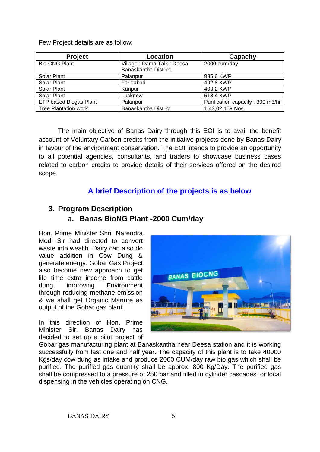Few Project details are as follow:

| <b>Project</b>              | Location                  | <b>Capacity</b>                  |
|-----------------------------|---------------------------|----------------------------------|
| <b>Bio-CNG Plant</b>        | Village: Dama Talk: Deesa | 2000 cum/day                     |
|                             | Banaskantha District.     |                                  |
| Solar Plant                 | Palanpur                  | 985.6 KWP                        |
| Solar Plant                 | Faridabad                 | 492.8 KWP                        |
| Solar Plant                 | Kanpur                    | 403.2 KWP                        |
| Solar Plant                 | Lucknow                   | 518.4 KWP                        |
| ETP based Biogas Plant      | Palanpur                  | Purification capacity: 300 m3/hr |
| <b>Tree Plantation work</b> | Banaskantha District      | 1,43,02,159 Nos.                 |

The main objective of Banas Dairy through this EOI is to avail the benefit account of Voluntary Carbon credits from the initiative projects done by Banas Dairy in favour of the environment conservation. The EOI intends to provide an opportunity to all potential agencies, consultants, and traders to showcase business cases related to carbon credits to provide details of their services offered on the desired scope.

# **A brief Description of the projects is as below**

## **3. Program Description a. Banas BioNG Plant -2000 Cum/day**

Hon. Prime Minister Shri. Narendra Modi Sir had directed to convert waste into wealth. Dairy can also do value addition in Cow Dung & generate energy. Gobar Gas Project also become new approach to get life time extra income from cattle dung, improving Environment through reducing methane emission & we shall get Organic Manure as output of the Gobar gas plant.

In this direction of Hon. Prime Minister Sir, Banas Dairy has decided to set up a pilot project of



Gobar gas manufacturing plant at Banaskantha near Deesa station and it is working successfully from last one and half year. The capacity of this plant is to take 40000 Kgs/day cow dung as intake and produce 2000 CUM/day raw bio gas which shall be purified. The purified gas quantity shall be approx. 800 Kg/Day. The purified gas shall be compressed to a pressure of 250 bar and filled in cylinder cascades for local dispensing in the vehicles operating on CNG.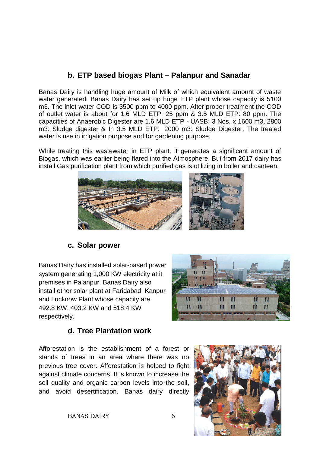# **b. ETP based biogas Plant – Palanpur and Sanadar**

Banas Dairy is handling huge amount of Milk of which equivalent amount of waste water generated. Banas Dairy has set up huge ETP plant whose capacity is 5100 m3. The inlet water COD is 3500 ppm to 4000 ppm. After proper treatment the COD of outlet water is about for 1.6 MLD ETP: 25 ppm & 3.5 MLD ETP: 80 ppm. The capacities of Anaerobic Digester are 1.6 MLD ETP - UASB: 3 Nos. x 1600 m3, 2800 m3: Sludge digester & In 3.5 MLD ETP: 2000 m3: Sludge Digester. The treated water is use in irrigation purpose and for gardening purpose.

While treating this wastewater in ETP plant, it generates a significant amount of Biogas, which was earlier being flared into the Atmosphere. But from 2017 dairy has install Gas purification plant from which purified gas is utilizing in boiler and canteen.



### **c. Solar power**

Banas Dairy has installed solar-based power system generating 1,000 KW electricity at it premises in Palanpur. Banas Dairy also install other solar plant at Faridabad, Kanpur and Lucknow Plant whose capacity are 492.8 KW, 403.2 KW and 518.4 KW respectively.



# **d. Tree Plantation work**

Afforestation is the establishment of a forest or stands of trees in an area where there was no previous tree cover. Afforestation is helped to fight against climate concerns. It is known to increase the soil quality and organic carbon levels into the soil, and avoid desertification. Banas dairy directly



BANAS DAIRY 6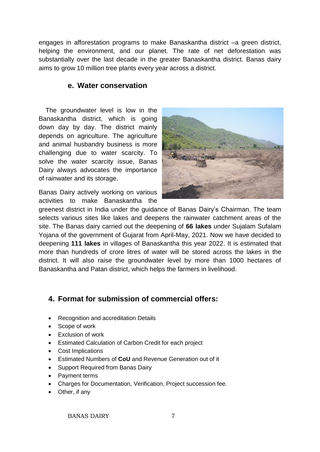engages in afforestation programs to make Banaskantha district –a green district, helping the environment, and our planet. The rate of net deforestation was substantially over the last decade in the greater Banaskantha district. Banas dairy aims to grow 10 million tree plants every year across a district.

### **e. Water conservation**

The groundwater level is low in the Banaskantha district, which is going down day by day. The district mainly depends on agriculture. The agriculture and animal husbandry business is more challenging due to water scarcity. To solve the water scarcity issue, Banas Dairy always advocates the importance of rainwater and its storage.

Banas Dairy actively working on various activities to make Banaskantha the



greenest district in India under the guidance of Banas Dairy's Chairman. The team selects various sites like lakes and deepens the rainwater catchment areas of the site. The Banas dairy carried out the deepening of **66 lakes** under Sujalam Sufalam Yojana of the government of Gujarat from April-May, 2021. Now we have decided to deepening **111 lakes** in villages of Banaskantha this year 2022. It is estimated that more than hundreds of crore litres of water will be stored across the lakes in the district. It will also raise the groundwater level by more than 1000 hectares of Banaskantha and Patan district, which helps the farmers in livelihood.

# **4. Format for submission of commercial offers:**

- Recognition and accreditation Details
- Scope of work
- Exclusion of work
- Estimated Calculation of Carbon Credit for each project
- Cost Implications
- Estimated Numbers of **CoU** and Revenue Generation out of it
- Support Required from Banas Dairy
- Payment terms
- Charges for Documentation, Verification, Project succession fee.
- Other, if any

BANAS DAIRY 7